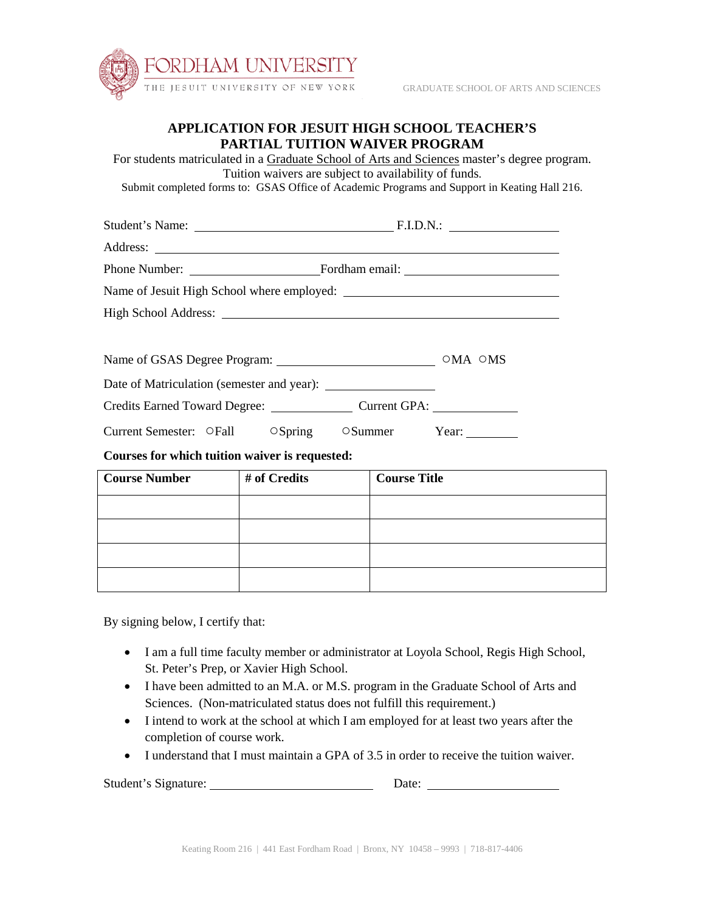

## **APPLICATION FOR JESUIT HIGH SCHOOL TEACHER'S PARTIAL TUITION WAIVER PROGRAM**

For students matriculated in a Graduate School of Arts and Sciences master's degree program. Tuition waivers are subject to availability of funds. Submit completed forms to: GSAS Office of Academic Programs and Support in Keating Hall 216. Student's Name: F.I.D.N.: Address: Phone Number: Fordham email: Name of Jesuit High School where employed: High School Address: Name of GSAS Degree Program: **○**MA **○**MS Date of Matriculation (semester and year): Credits Earned Toward Degree: Current GPA: Current Semester: **○**Fall **○**Spring **○**Summer Year: **Courses for which tuition waiver is requested: Course Number # of Credits Course Title**

| $\cdots$ $\sim$ $\sim$ $\sim$ $\sim$ $\sim$ $\sim$ | $\sim$ $\sim$ $\sim$ $\sim$ $\sim$ $\sim$ $\sim$ |
|----------------------------------------------------|--------------------------------------------------|
|                                                    |                                                  |
|                                                    |                                                  |
|                                                    |                                                  |
|                                                    |                                                  |

By signing below, I certify that:

- I am a full time faculty member or administrator at Loyola School, Regis High School, St. Peter's Prep, or Xavier High School.
- I have been admitted to an M.A. or M.S. program in the Graduate School of Arts and Sciences. (Non-matriculated status does not fulfill this requirement.)
- I intend to work at the school at which I am employed for at least two years after the completion of course work.
- I understand that I must maintain a GPA of 3.5 in order to receive the tuition waiver.

Student's Signature: Date: Date: Date: Date: Date: Date: Date: Date: Date: Date: Date: Date: Date: Date: Date: Date: Date: Date: Date: Date: Date: Date: Date: Date: Date: Date: Date: Date: Date: Date: Date: Date: Date: Dat